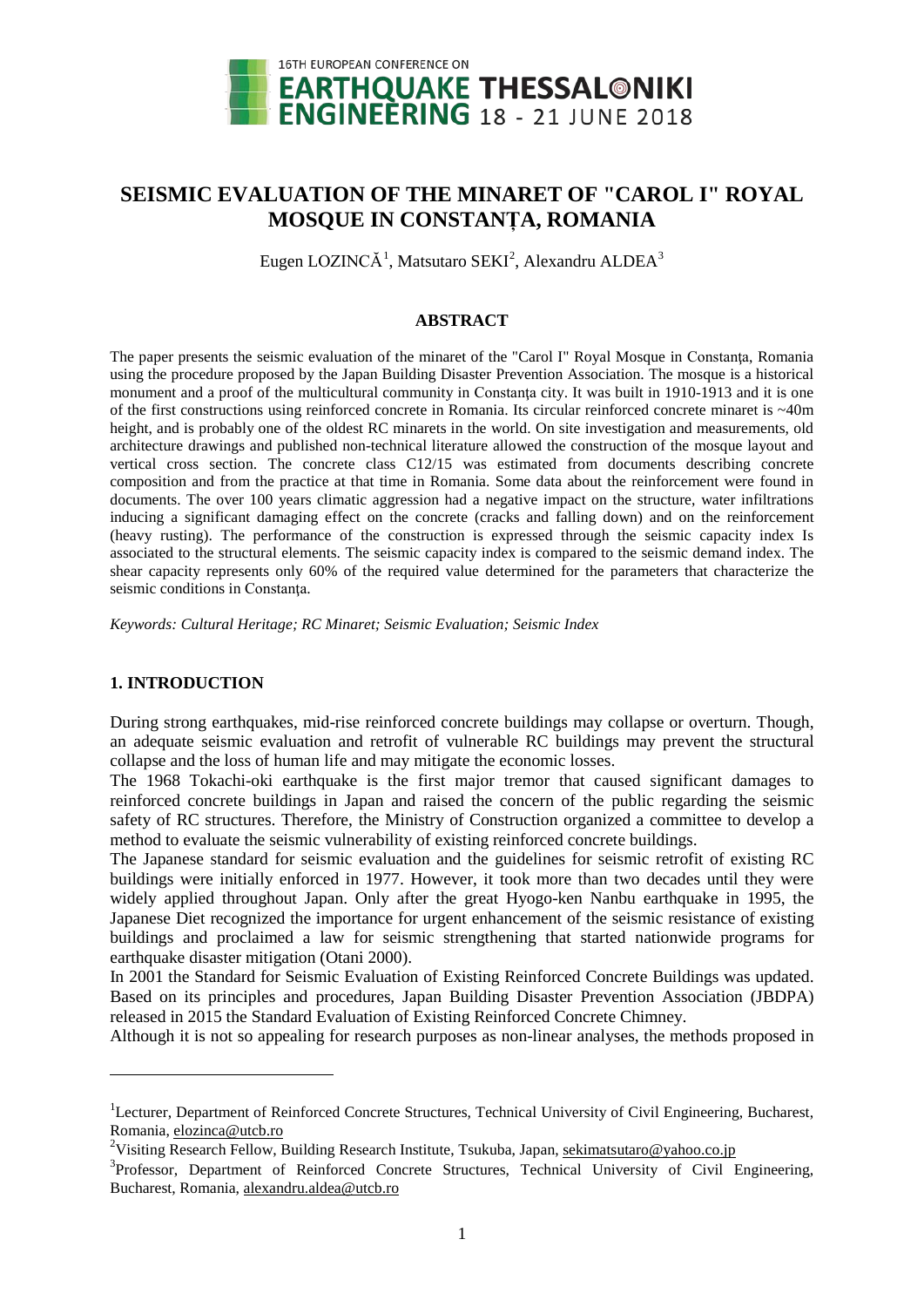

# **SEISMIC EVALUATION OF THE MINARET OF "CAROL I" ROYAL MOSQUE IN CONSTANȚA, ROMANIA**

Eugen LOZINCĂ<sup>[1](#page-0-0)</sup>, Matsutaro SEKI<sup>[2](#page-0-1)</sup>, Alexandru ALDEA<sup>[3](#page-0-2)</sup>

# **ABSTRACT**

The paper presents the seismic evaluation of the minaret of the "Carol I" Royal Mosque in Constanta, Romania using the procedure proposed by the Japan Building Disaster Prevention Association. The mosque is a historical monument and a proof of the multicultural community in Constanta city. It was built in 1910-1913 and it is one of the first constructions using reinforced concrete in Romania. Its circular reinforced concrete minaret is ~40m height, and is probably one of the oldest RC minarets in the world. On site investigation and measurements, old architecture drawings and published non-technical literature allowed the construction of the mosque layout and vertical cross section. The concrete class C12/15 was estimated from documents describing concrete composition and from the practice at that time in Romania. Some data about the reinforcement were found in documents. The over 100 years climatic aggression had a negative impact on the structure, water infiltrations inducing a significant damaging effect on the concrete (cracks and falling down) and on the reinforcement (heavy rusting). The performance of the construction is expressed through the seismic capacity index Is associated to the structural elements. The seismic capacity index is compared to the seismic demand index. The shear capacity represents only 60% of the required value determined for the parameters that characterize the seismic conditions in Constanţa.

*Keywords: Cultural Heritage; RC Minaret; Seismic Evaluation; Seismic Index*

# **1. INTRODUCTION**

-

During strong earthquakes, mid-rise reinforced concrete buildings may collapse or overturn. Though, an adequate seismic evaluation and retrofit of vulnerable RC buildings may prevent the structural collapse and the loss of human life and may mitigate the economic losses.

The 1968 Tokachi-oki earthquake is the first major tremor that caused significant damages to reinforced concrete buildings in Japan and raised the concern of the public regarding the seismic safety of RC structures. Therefore, the Ministry of Construction organized a committee to develop a method to evaluate the seismic vulnerability of existing reinforced concrete buildings.

The Japanese standard for seismic evaluation and the guidelines for seismic retrofit of existing RC buildings were initially enforced in 1977. However, it took more than two decades until they were widely applied throughout Japan. Only after the great Hyogo-ken Nanbu earthquake in 1995, the Japanese Diet recognized the importance for urgent enhancement of the seismic resistance of existing buildings and proclaimed a law for seismic strengthening that started nationwide programs for earthquake disaster mitigation (Otani 2000).

In 2001 the Standard for Seismic Evaluation of Existing Reinforced Concrete Buildings was updated. Based on its principles and procedures, Japan Building Disaster Prevention Association (JBDPA) released in 2015 the Standard Evaluation of Existing Reinforced Concrete Chimney.

Although it is not so appealing for research purposes as non-linear analyses, the methods proposed in

<span id="page-0-0"></span><sup>&</sup>lt;sup>1</sup>Lecturer, Department of Reinforced Concrete Structures, Technical University of Civil Engineering, Bucharest, Romania, [elozinca@utcb.ro](mailto:elozinca@utcb.ro)

<span id="page-0-1"></span><sup>&</sup>lt;sup>2</sup>Visiting Research Fellow, Building Research Institute, Tsukuba, Japan, <u>sekimatsutaro@yahoo.co.jp</u>

<span id="page-0-2"></span><sup>&</sup>lt;sup>3</sup>Professor, Department of Reinforced Concrete Structures, Technical University of Civil Engineering, Bucharest, Romania, [alexandru.aldea@utcb.ro](mailto:alexandru.aldea@utcb.ro)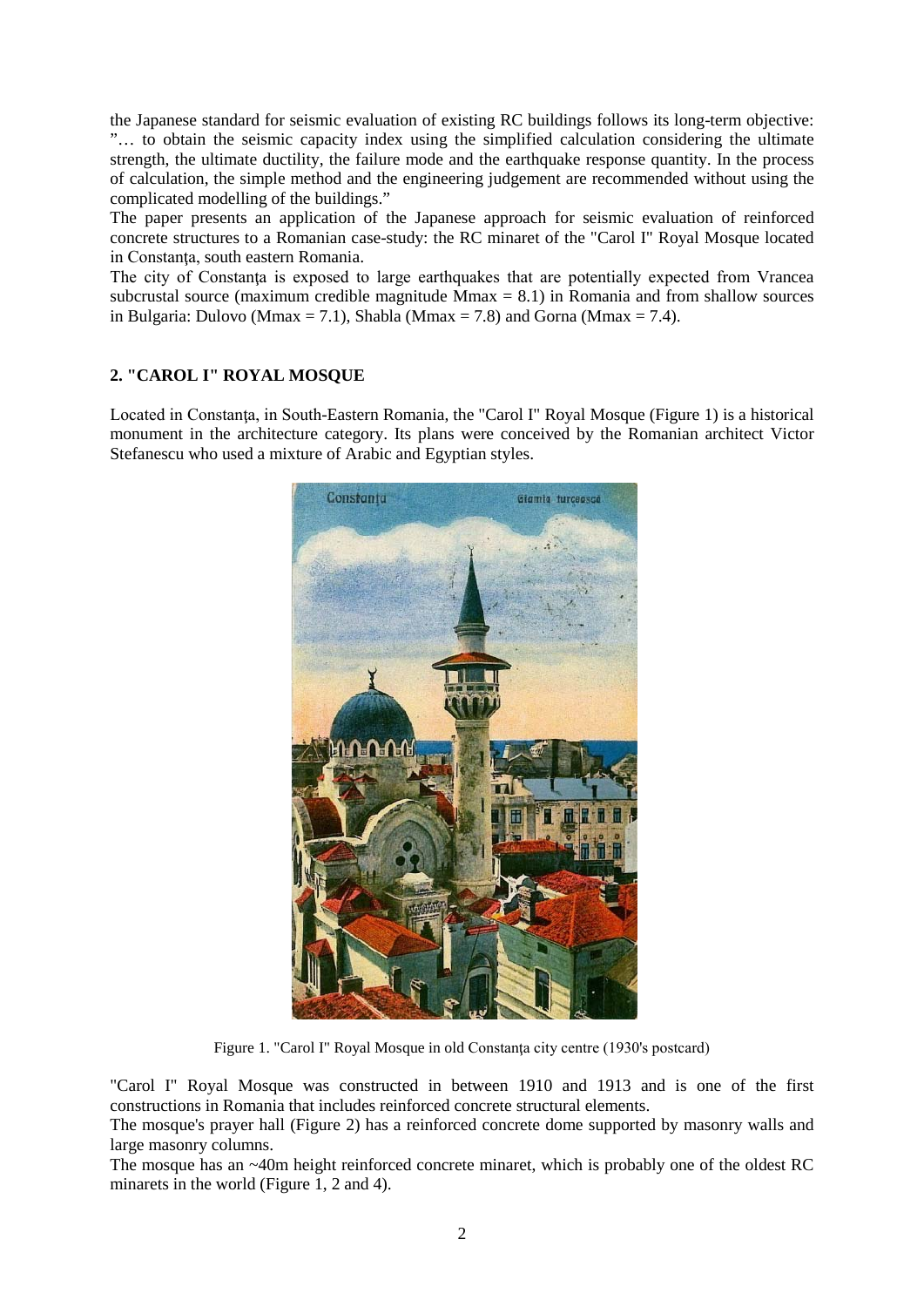the Japanese standard for seismic evaluation of existing RC buildings follows its long-term objective: "… to obtain the seismic capacity index using the simplified calculation considering the ultimate strength, the ultimate ductility, the failure mode and the earthquake response quantity. In the process of calculation, the simple method and the engineering judgement are recommended without using the complicated modelling of the buildings."

The paper presents an application of the Japanese approach for seismic evaluation of reinforced concrete structures to a Romanian case-study: the RC minaret of the "Carol I" Royal Mosque located in Constanta, south eastern Romania.

The city of Constanța is exposed to large earthquakes that are potentially expected from Vrancea subcrustal source (maximum credible magnitude  $M$ max = 8.1) in Romania and from shallow sources in Bulgaria: Dulovo (Mmax = 7.1), Shabla (Mmax = 7.8) and Gorna (Mmax = 7.4).

# **2. "CAROL I" ROYAL MOSQUE**

Located in Constanţa, in South-Eastern Romania, the "Carol I" Royal Mosque (Figure 1) is a historical monument in the architecture category. Its plans were conceived by the Romanian architect Victor Stefanescu who used a mixture of Arabic and Egyptian styles.



Figure 1. "Carol I" Royal Mosque in old Constanţa city centre (1930's postcard)

"Carol I" Royal Mosque was constructed in between 1910 and 1913 and is one of the first constructions in Romania that includes reinforced concrete structural elements.

The mosque's prayer hall (Figure 2) has a reinforced concrete dome supported by masonry walls and large masonry columns.

The mosque has an ~40m height reinforced concrete minaret, which is probably one of the oldest RC minarets in the world (Figure 1, 2 and 4).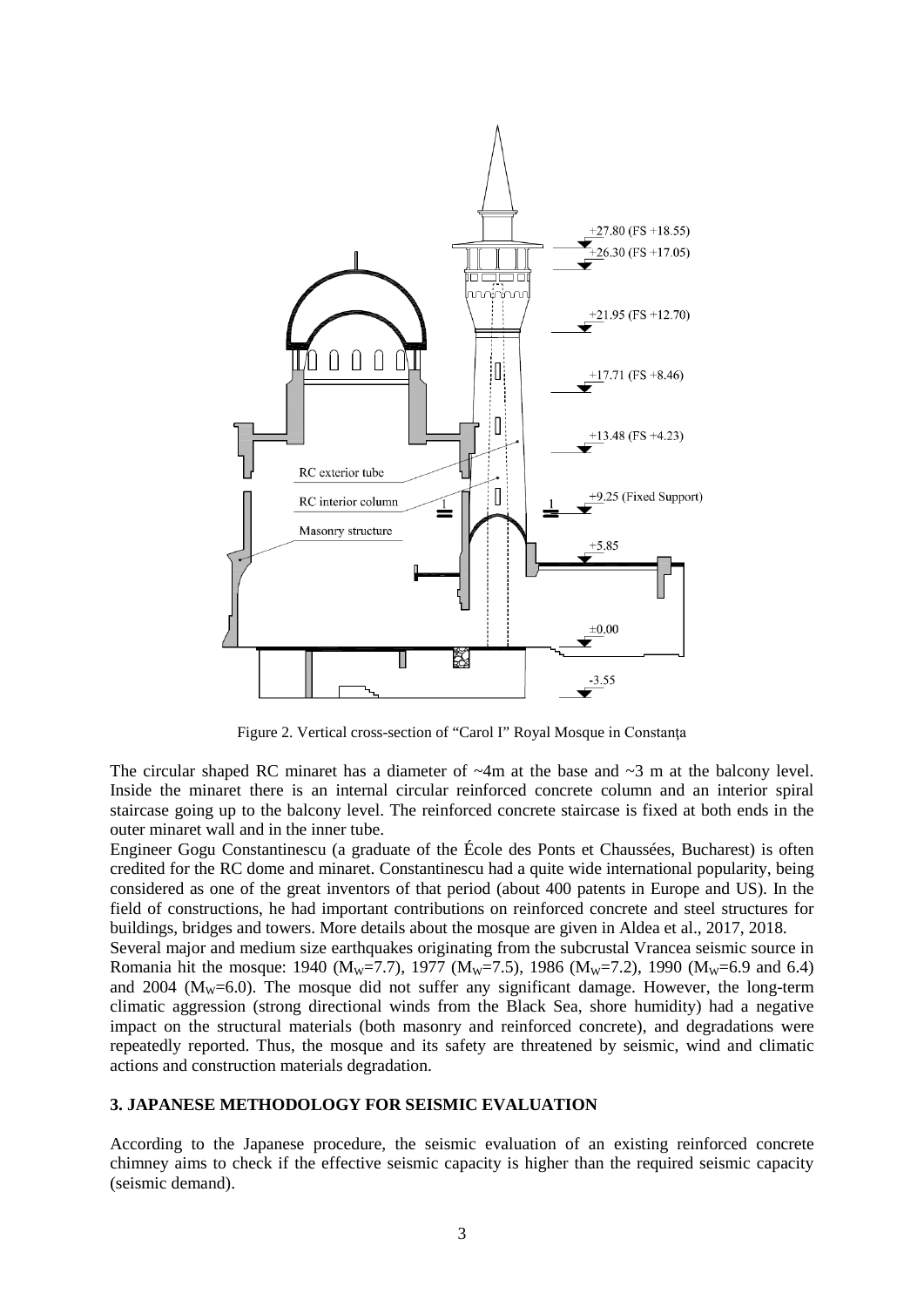

Figure 2. Vertical cross-section of "Carol I" Royal Mosque in Constanţa

The circular shaped RC minaret has a diameter of  $\sim$ 4m at the base and  $\sim$ 3 m at the balcony level. Inside the minaret there is an internal circular reinforced concrete column and an interior spiral staircase going up to the balcony level. The reinforced concrete staircase is fixed at both ends in the outer minaret wall and in the inner tube.

Engineer Gogu Constantinescu (a graduate of the École des Ponts et Chaussées, Bucharest) is often credited for the RC dome and minaret. Constantinescu had a quite wide international popularity, being considered as one of the great inventors of that period (about 400 patents in Europe and US). In the field of constructions, he had important contributions on reinforced concrete and steel structures for buildings, bridges and towers. More details about the mosque are given in Aldea et al., 2017, 2018.

Several major and medium size earthquakes originating from the subcrustal Vrancea seismic source in Romania hit the mosque: 1940 (M<sub>W</sub>=7.7), 1977 (M<sub>W</sub>=7.5), 1986 (M<sub>W</sub>=7.2), 1990 (M<sub>W</sub>=6.9 and 6.4) and 2004 ( $M_W$ =6.0). The mosque did not suffer any significant damage. However, the long-term climatic aggression (strong directional winds from the Black Sea, shore humidity) had a negative impact on the structural materials (both masonry and reinforced concrete), and degradations were repeatedly reported. Thus, the mosque and its safety are threatened by seismic, wind and climatic actions and construction materials degradation.

#### **3. JAPANESE METHODOLOGY FOR SEISMIC EVALUATION**

According to the Japanese procedure, the seismic evaluation of an existing reinforced concrete chimney aims to check if the effective seismic capacity is higher than the required seismic capacity (seismic demand).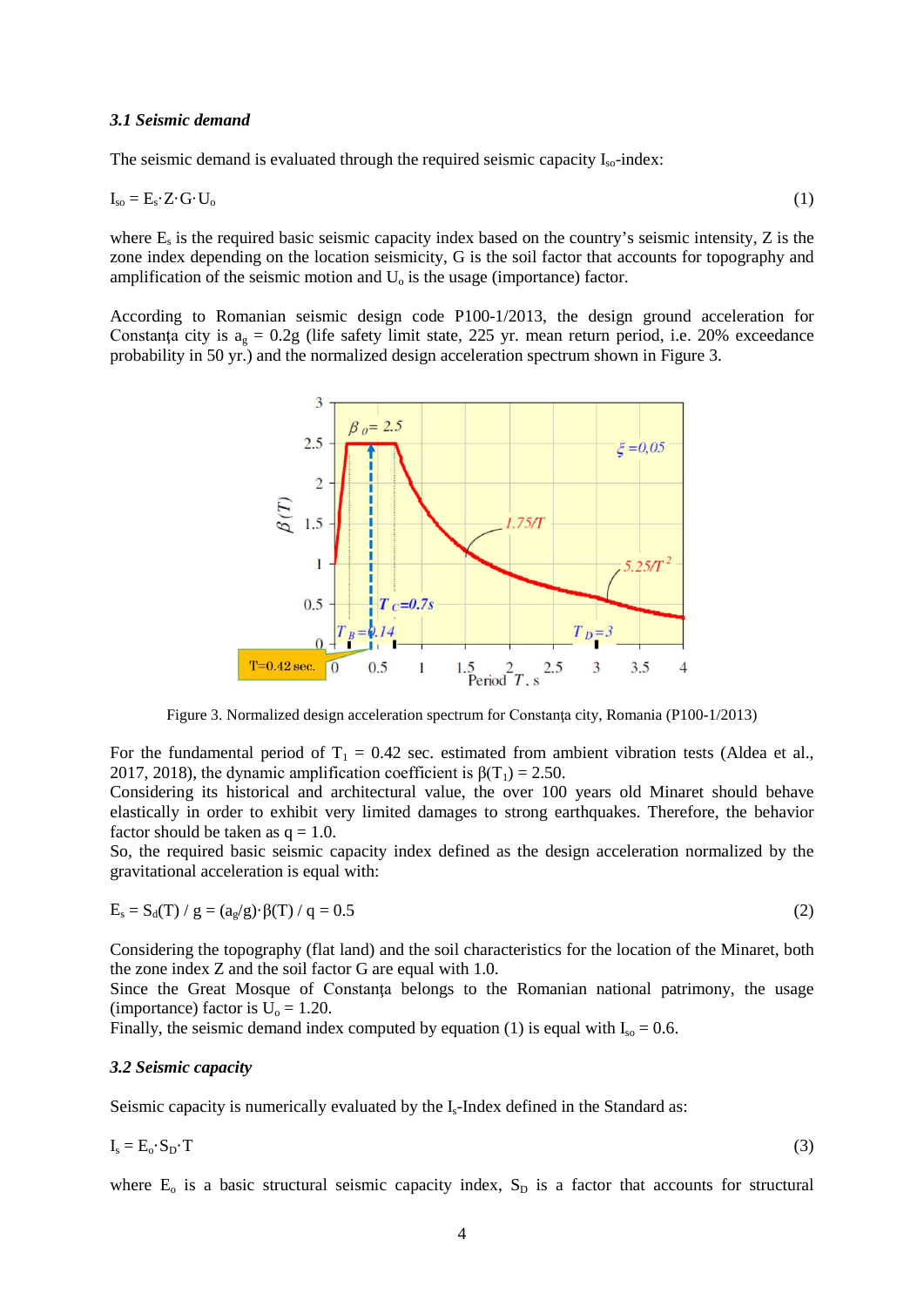#### *3.1 Seismic demand*

The seismic demand is evaluated through the required seismic capacity  $I_{so}$ -index:

$$
I_{so} = E_s \cdot Z \cdot G \cdot U_o \tag{1}
$$

where  $E_s$  is the required basic seismic capacity index based on the country's seismic intensity,  $Z$  is the zone index depending on the location seismicity, G is the soil factor that accounts for topography and amplification of the seismic motion and  $U_0$  is the usage (importance) factor.

According to Romanian seismic design code P100-1/2013, the design ground acceleration for Constanta city is  $a<sub>o</sub> = 0.2g$  (life safety limit state, 225 yr. mean return period, i.e. 20% exceedance probability in 50 yr.) and the normalized design acceleration spectrum shown in Figure 3.



Figure 3. Normalized design acceleration spectrum for Constanţa city, Romania (P100-1/2013)

For the fundamental period of  $T_1 = 0.42$  sec. estimated from ambient vibration tests (Aldea et al., 2017, 2018), the dynamic amplification coefficient is  $\beta(T_1) = 2.50$ .

Considering its historical and architectural value, the over 100 years old Minaret should behave elastically in order to exhibit very limited damages to strong earthquakes. Therefore, the behavior factor should be taken as  $q = 1.0$ .

So, the required basic seismic capacity index defined as the design acceleration normalized by the gravitational acceleration is equal with:

$$
E_s = S_d(T) / g = (a_g/g) \cdot \beta(T) / q = 0.5
$$
 (2)

Considering the topography (flat land) and the soil characteristics for the location of the Minaret, both the zone index Z and the soil factor G are equal with 1.0.

Since the Great Mosque of Constanta belongs to the Romanian national patrimony, the usage (importance) factor is  $U_0 = 1.20$ .

Finally, the seismic demand index computed by equation (1) is equal with  $I_{\rm so} = 0.6$ .

#### *3.2 Seismic capacity*

Seismic capacity is numerically evaluated by the I<sub>s</sub>-Index defined in the Standard as:

$$
I_s = E_o \cdot S_D \cdot T \tag{3}
$$

where  $E_0$  is a basic structural seismic capacity index,  $S_D$  is a factor that accounts for structural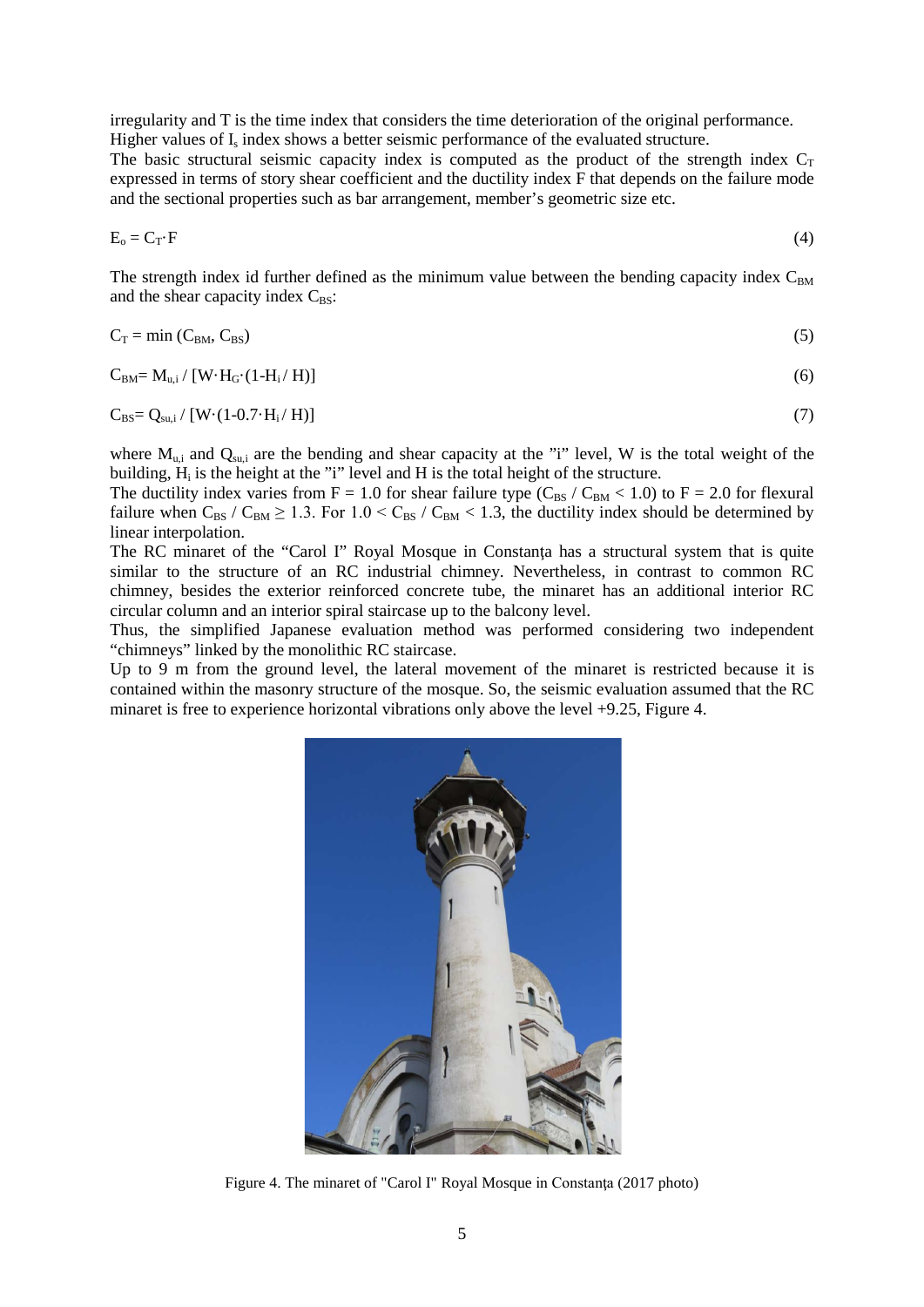irregularity and T is the time index that considers the time deterioration of the original performance. Higher values of  $I_s$  index shows a better seismic performance of the evaluated structure.

The basic structural seismic capacity index is computed as the product of the strength index  $C_T$ expressed in terms of story shear coefficient and the ductility index F that depends on the failure mode and the sectional properties such as bar arrangement, member's geometric size etc.

$$
E_o = C_T \cdot F \tag{4}
$$

The strength index id further defined as the minimum value between the bending capacity index  $C_{BM}$ and the shear capacity index  $C_{BS}$ :

$$
C_T = \min(C_{BM}, C_{BS})
$$
 (5)

$$
C_{BM} = M_{u,i} / [W \cdot H_G \cdot (1 - H_i / H)] \tag{6}
$$

$$
C_{BS} = Q_{su,i} / [W \cdot (1 - 0.7 \cdot H_i / H)] \tag{7}
$$

where  $M_{u,i}$  and  $Q_{su,i}$  are the bending and shear capacity at the "i" level, W is the total weight of the building,  $H_i$  is the height at the "i" level and H is the total height of the structure.

The ductility index varies from  $F = 1.0$  for shear failure type ( $C_{BS}$  /  $C_{BM}$  < 1.0) to  $F = 2.0$  for flexural failure when  $C_{BS}$  /  $C_{BM} \ge 1.3$ . For  $1.0 < C_{BS}$  /  $C_{BM} < 1.3$ , the ductility index should be determined by linear interpolation.

The RC minaret of the "Carol I" Royal Mosque in Constanta has a structural system that is quite similar to the structure of an RC industrial chimney. Nevertheless, in contrast to common RC chimney, besides the exterior reinforced concrete tube, the minaret has an additional interior RC circular column and an interior spiral staircase up to the balcony level.

Thus, the simplified Japanese evaluation method was performed considering two independent "chimneys" linked by the monolithic RC staircase.

Up to 9 m from the ground level, the lateral movement of the minaret is restricted because it is contained within the masonry structure of the mosque. So, the seismic evaluation assumed that the RC minaret is free to experience horizontal vibrations only above the level +9.25, Figure 4.



Figure 4. The minaret of "Carol I" Royal Mosque in Constanţa (2017 photo)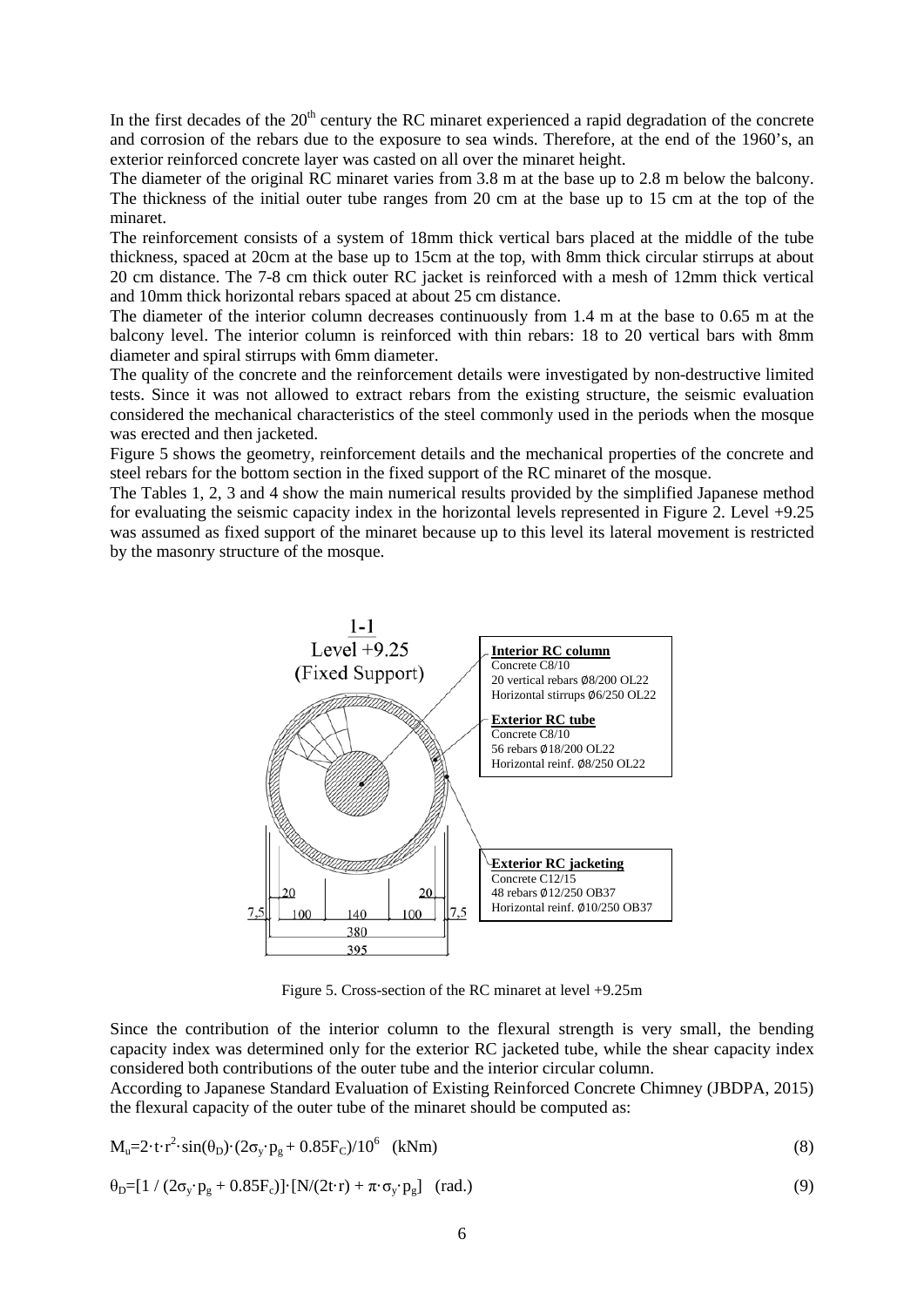In the first decades of the  $20<sup>th</sup>$  century the RC minaret experienced a rapid degradation of the concrete and corrosion of the rebars due to the exposure to sea winds. Therefore, at the end of the 1960's, an exterior reinforced concrete layer was casted on all over the minaret height.

The diameter of the original RC minaret varies from 3.8 m at the base up to 2.8 m below the balcony. The thickness of the initial outer tube ranges from 20 cm at the base up to 15 cm at the top of the minaret.

The reinforcement consists of a system of 18mm thick vertical bars placed at the middle of the tube thickness, spaced at 20cm at the base up to 15cm at the top, with 8mm thick circular stirrups at about 20 cm distance. The 7-8 cm thick outer RC jacket is reinforced with a mesh of 12mm thick vertical and 10mm thick horizontal rebars spaced at about 25 cm distance.

The diameter of the interior column decreases continuously from 1.4 m at the base to 0.65 m at the balcony level. The interior column is reinforced with thin rebars: 18 to 20 vertical bars with 8mm diameter and spiral stirrups with 6mm diameter.

The quality of the concrete and the reinforcement details were investigated by non-destructive limited tests. Since it was not allowed to extract rebars from the existing structure, the seismic evaluation considered the mechanical characteristics of the steel commonly used in the periods when the mosque was erected and then jacketed.

Figure 5 shows the geometry, reinforcement details and the mechanical properties of the concrete and steel rebars for the bottom section in the fixed support of the RC minaret of the mosque.

The Tables 1, 2, 3 and 4 show the main numerical results provided by the simplified Japanese method for evaluating the seismic capacity index in the horizontal levels represented in Figure 2. Level +9.25 was assumed as fixed support of the minaret because up to this level its lateral movement is restricted by the masonry structure of the mosque.



Figure 5. Cross-section of the RC minaret at level +9.25m

Since the contribution of the interior column to the flexural strength is very small, the bending capacity index was determined only for the exterior RC jacketed tube, while the shear capacity index considered both contributions of the outer tube and the interior circular column.

According to Japanese Standard Evaluation of Existing Reinforced Concrete Chimney (JBDPA, 2015) the flexural capacity of the outer tube of the minaret should be computed as:

$$
\mathbf{M}_{\mathrm{u}} = 2 \cdot \mathrm{t} \cdot \mathrm{r}^2 \cdot \sin(\theta_{\mathrm{D}}) \cdot (2\sigma_{\mathrm{y}} \cdot \mathbf{p}_{\mathrm{g}} + 0.85 \mathbf{F}_{\mathrm{C}}) / 10^6 \quad \text{(kNm)}\tag{8}
$$

$$
\theta_{\rm D} = [1 / (2\sigma_{\rm y} \cdot \mathbf{p}_{\rm g} + 0.85 \mathbf{F}_{\rm c})] \cdot [N/(2\mathbf{t} \cdot \mathbf{r}) + \pi \cdot \sigma_{\rm y} \cdot \mathbf{p}_{\rm g}] \quad \text{(rad.)} \tag{9}
$$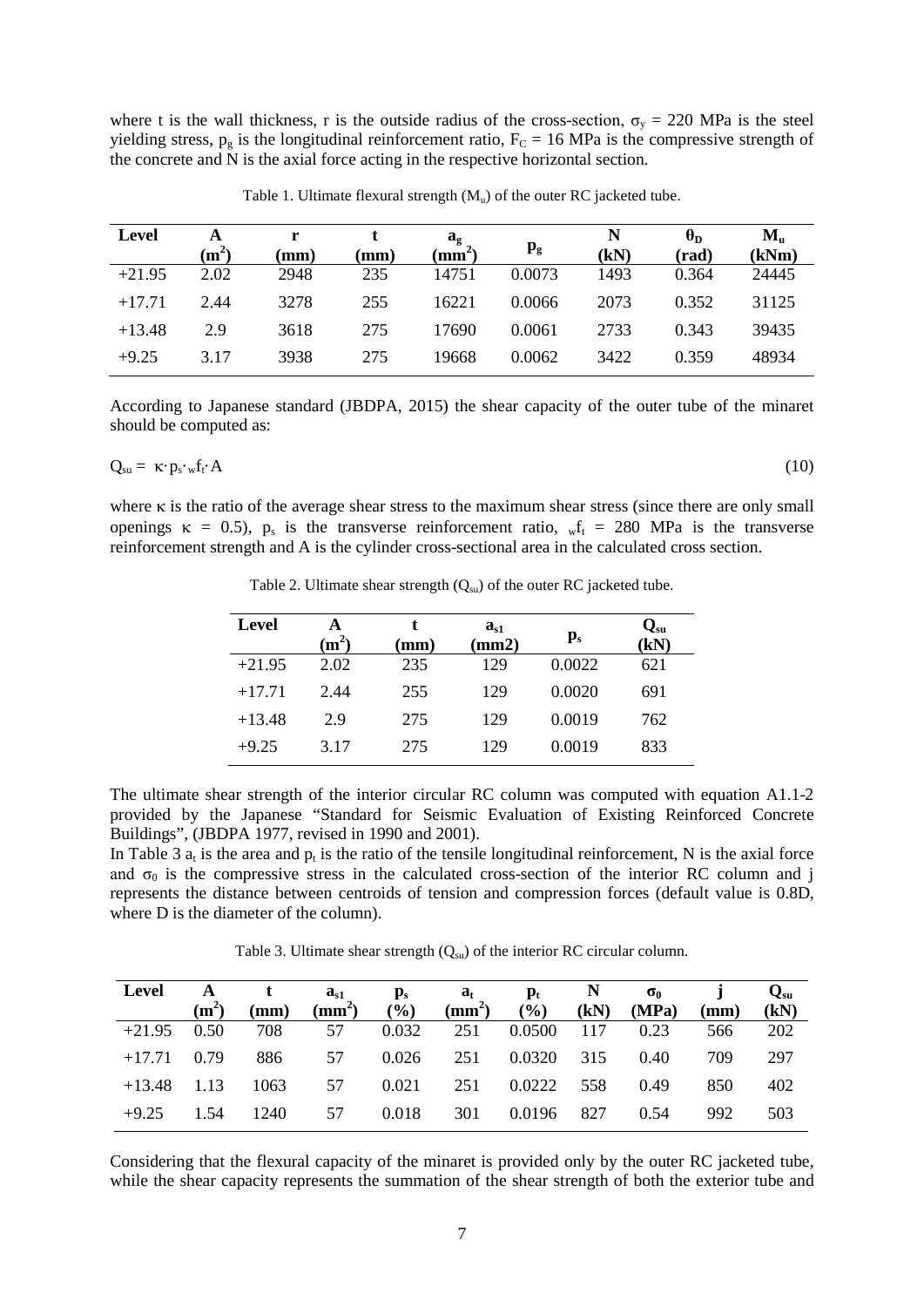where t is the wall thickness, r is the outside radius of the cross-section,  $\sigma_y = 220$  MPa is the steel yielding stress,  $p_g$  is the longitudinal reinforcement ratio,  $F_c = 16$  MPa is the compressive strength of the concrete and N is the axial force acting in the respective horizontal section.

| <b>Level</b> | A<br>$(m^2)$ | r<br>$(\mathbf{mm})$ | mm) | $\mathbf{a}_{\mathbf{g}}$<br>$(mm^2)$ | $\mathbf{p}_{\mathbf{g}}$ | N<br>(kN) | $\theta_{\rm D}$<br>(rad) | $M_{\rm n}$<br>(kNm) |
|--------------|--------------|----------------------|-----|---------------------------------------|---------------------------|-----------|---------------------------|----------------------|
| $+21.95$     | 2.02         | 2948                 | 235 | 14751                                 | 0.0073                    | 1493      | 0.364                     | 24445                |
| $+17.71$     | 2.44         | 3278                 | 255 | 16221                                 | 0.0066                    | 2073      | 0.352                     | 31125                |
| $+13.48$     | 2.9          | 3618                 | 275 | 17690                                 | 0.0061                    | 2733      | 0.343                     | 39435                |
| $+9.25$      | 3.17         | 3938                 | 275 | 19668                                 | 0.0062                    | 3422      | 0.359                     | 48934                |

Table 1. Ultimate flexural strength  $(M_u)$  of the outer RC jacketed tube.

According to Japanese standard (JBDPA, 2015) the shear capacity of the outer tube of the minaret should be computed as:

$$
Q_{su} = \kappa \cdot p_s \cdot w f_t \cdot A \tag{10}
$$

where κ is the ratio of the average shear stress to the maximum shear stress (since there are only small openings  $\kappa = 0.5$ ),  $p_s$  is the transverse reinforcement ratio,  $\psi_t = 280$  MPa is the transverse reinforcement strength and A is the cylinder cross-sectional area in the calculated cross section.

| <b>Level</b> | A<br>$\rm(m^2)$ | t<br>$(\mathbf{mm})$ | $a_{s1}$<br>(mm2) | $\mathbf{p}_s$ | $\mathbf{Q}_\mathrm{su}$<br>(kN) |
|--------------|-----------------|----------------------|-------------------|----------------|----------------------------------|
| $+21.95$     | 2.02            | 235                  | 129               | 0.0022         | 621                              |
| $+17.71$     | 2.44            | 255                  | 129               | 0.0020         | 691                              |
| $+13.48$     | 2.9             | 275                  | 129               | 0.0019         | 762                              |
| $+9.25$      | 3.17            | 275                  | 129               | 0.0019         | 833                              |

Table 2. Ultimate shear strength  $(Q_{su})$  of the outer RC jacketed tube.

The ultimate shear strength of the interior circular RC column was computed with equation A1.1-2 provided by the Japanese "Standard for Seismic Evaluation of Existing Reinforced Concrete Buildings", (JBDPA 1977, revised in 1990 and 2001).

In Table 3  $a_t$  is the area and  $p_t$  is the ratio of the tensile longitudinal reinforcement, N is the axial force and  $\sigma_0$  is the compressive stress in the calculated cross-section of the interior RC column and j represents the distance between centroids of tension and compression forces (default value is 0.8D, where D is the diameter of the column).

Table 3. Ultimate shear strength  $(Q_{su})$  of the interior RC circular column.

| Level         |         | A t    | $a_{s1}$     | $\mathbf{p}_s$ | $\mathbf{a}_{t}$ | $\mathbf{p}_{\mathrm{t}}$ | $\mathbb{N}$ | $\sigma_{0}$ |                 | $Q_{\rm su}$ |
|---------------|---------|--------|--------------|----------------|------------------|---------------------------|--------------|--------------|-----------------|--------------|
|               | $(m^2)$ | (mm)   | $\text{m}^2$ | (%)            | $\text{m}^2$     | (9/0)                     | (kN)         | (MPa)        | $(\mathbf{mm})$ | (kN)         |
| $+21.95$ 0.50 |         | 708 57 |              | 0.032          | 251              | 0.0500 117                |              | 0.23         | 566             | 202          |
| $+17.71$ 0.79 |         | 886    | 57           | 0.026          | 251              | 0.0320 315                |              | 0.40         | 709             | 297          |
| $+13.48$ 1.13 |         | 1063   | 57           | 0.021          | 251              | 0.0222 558                |              | 0.49         | 850             | 402          |
| $+9.25$       | 1.54    | 1240   | 57           | 0.018          | 301              | 0.0196                    | 827          | 0.54         | 992             | 503          |

Considering that the flexural capacity of the minaret is provided only by the outer RC jacketed tube, while the shear capacity represents the summation of the shear strength of both the exterior tube and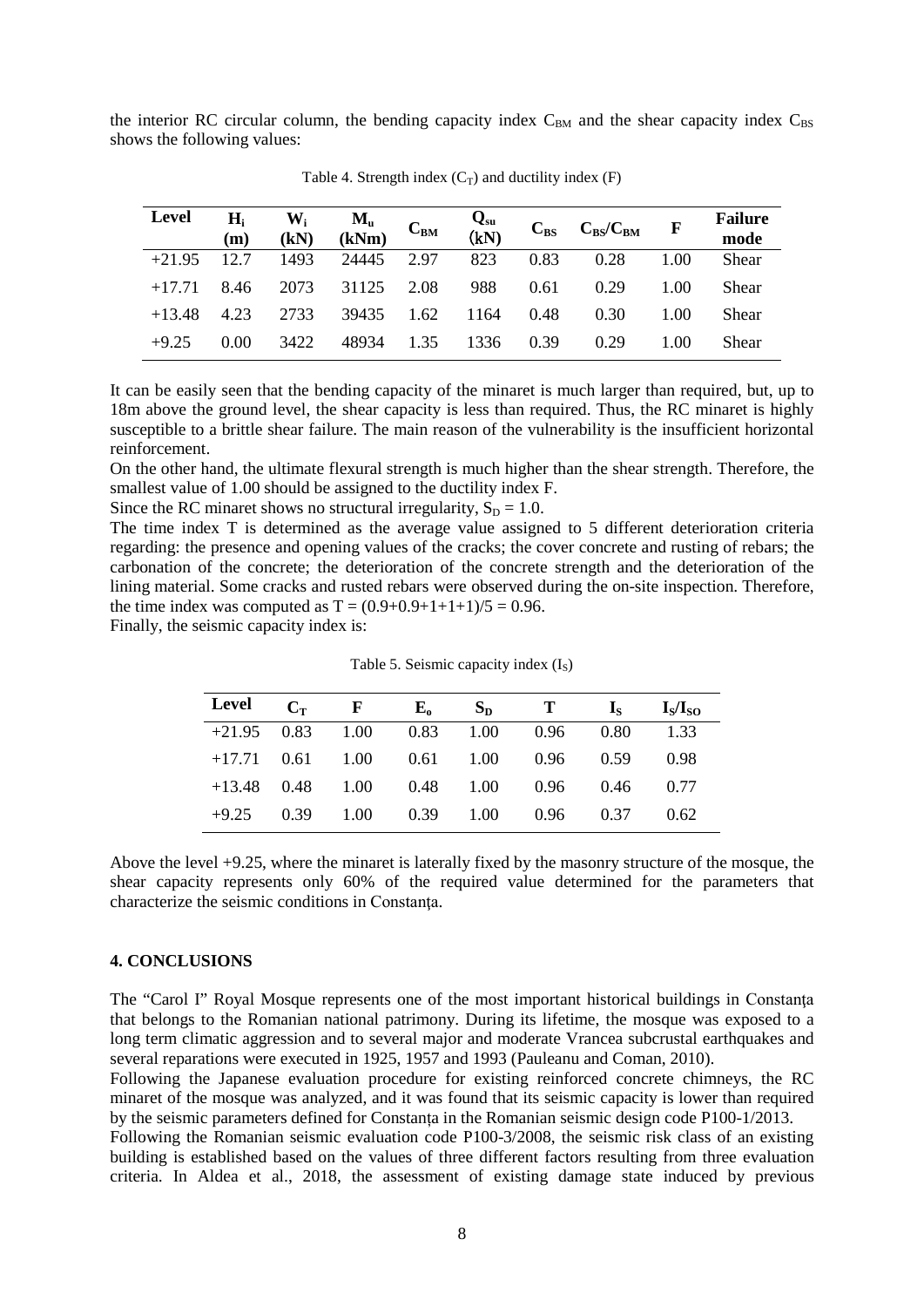the interior RC circular column, the bending capacity index  $C_{BM}$  and the shear capacity index  $C_{BS}$ shows the following values:

| Level    | $H_i$<br>(m) | $W_i$<br>(kN) | $M_u$ $C_{BM}$ |      | $Q_{su}$<br>(kN) |      | $C_{BS}$ $C_{BS}/C_{BM}$ F |      | <b>Failure</b><br>mode |
|----------|--------------|---------------|----------------|------|------------------|------|----------------------------|------|------------------------|
| $+21.95$ | 12.7         | 1493          | 24445          | 2.97 | 823              | 0.83 | 0.28                       | 1.00 | Shear                  |
| $+17.71$ | 8.46         | 2073          | 31125          | 2.08 | 988              | 0.61 | 0.29                       | 1.00 | Shear                  |
| $+13.48$ | 4.23         | 2733          | 39435          | 1.62 | 1164             | 0.48 | 0.30                       | 1.00 | Shear                  |
| $+9.25$  | 0.00         | 3422          | 48934          | 1.35 | 1336             | 0.39 | 0.29                       | 1.00 | Shear                  |

Table 4. Strength index  $(C_T)$  and ductility index  $(F)$ 

It can be easily seen that the bending capacity of the minaret is much larger than required, but, up to 18m above the ground level, the shear capacity is less than required. Thus, the RC minaret is highly susceptible to a brittle shear failure. The main reason of the vulnerability is the insufficient horizontal reinforcement.

On the other hand, the ultimate flexural strength is much higher than the shear strength. Therefore, the smallest value of 1.00 should be assigned to the ductility index F.

Since the RC minaret shows no structural irregularity,  $S_D = 1.0$ .

The time index T is determined as the average value assigned to 5 different deterioration criteria regarding: the presence and opening values of the cracks; the cover concrete and rusting of rebars; the carbonation of the concrete; the deterioration of the concrete strength and the deterioration of the lining material. Some cracks and rusted rebars were observed during the on-site inspection. Therefore, the time index was computed as  $T = (0.9+0.9+1+1+1)/5 = 0.96$ .

Finally, the seismic capacity index is:

| Level   | $C_T$ F |                              | $\mathbf{E}_{o}$ | $S_{D}$            | $\bf{T}$                               | $\mathbf{I}_\mathbf{S}$ | $I_s/I_{s0}$ |
|---------|---------|------------------------------|------------------|--------------------|----------------------------------------|-------------------------|--------------|
|         |         | $+21.95$ 0.83 1.00 0.83 1.00 |                  |                    | 0.96                                   | 0.80                    | 1.33         |
|         |         |                              |                  |                    | $+17.71$ 0.61 1.00 0.61 1.00 0.96 0.59 |                         | 0.98         |
|         |         | $+13.48$ 0.48 1.00 0.48 1.00 |                  |                    | 0.96                                   | 0.46                    | 0.77         |
| $+9.25$ | 0.39    | 1.00                         |                  | $0.39 \qquad 1.00$ | 0.96                                   | 0.37                    | 0.62         |

Table 5. Seismic capacity index  $(I<sub>S</sub>)$ 

Above the level +9.25, where the minaret is laterally fixed by the masonry structure of the mosque, the shear capacity represents only 60% of the required value determined for the parameters that characterize the seismic conditions in Constanţa.

#### **4. CONCLUSIONS**

The "Carol I" Royal Mosque represents one of the most important historical buildings in Constanta that belongs to the Romanian national patrimony. During its lifetime, the mosque was exposed to a long term climatic aggression and to several major and moderate Vrancea subcrustal earthquakes and several reparations were executed in 1925, 1957 and 1993 (Pauleanu and Coman, 2010).

Following the Japanese evaluation procedure for existing reinforced concrete chimneys, the RC minaret of the mosque was analyzed, and it was found that its seismic capacity is lower than required by the seismic parameters defined for Constanța in the Romanian seismic design code P100-1/2013.

Following the Romanian seismic evaluation code P100-3/2008, the seismic risk class of an existing building is established based on the values of three different factors resulting from three evaluation criteria. In Aldea et al., 2018, the assessment of existing damage state induced by previous